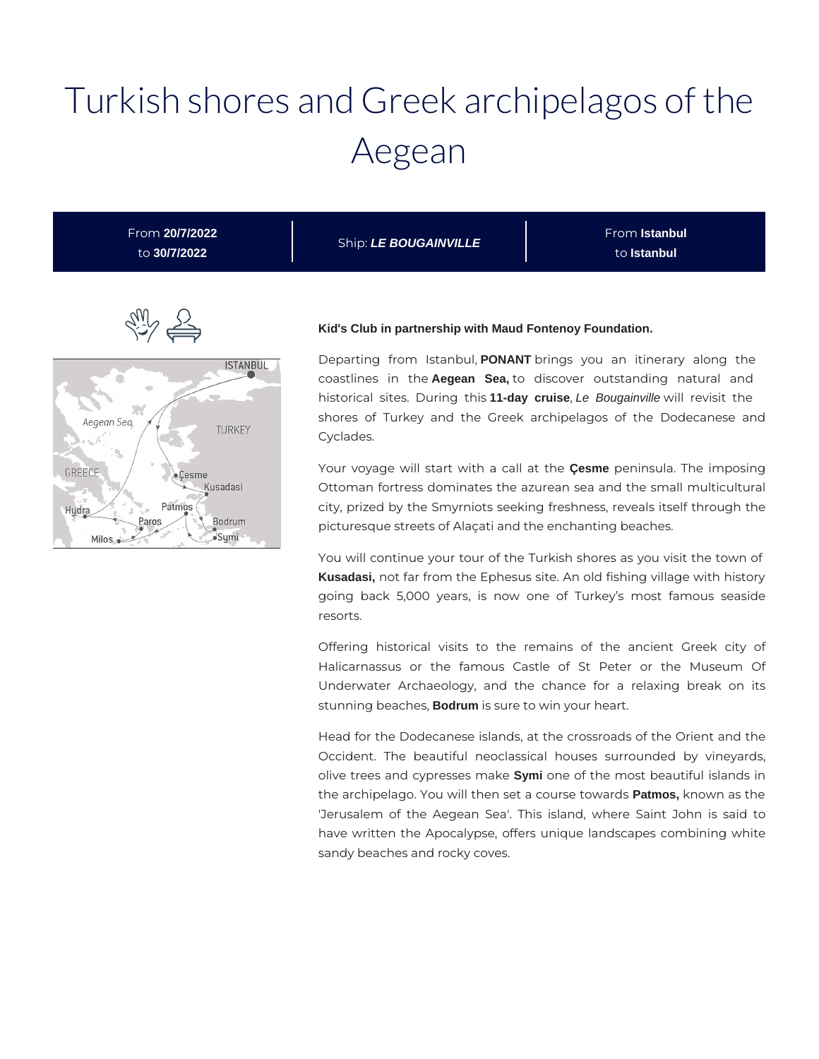# Turkish shores and Greek archipelagos of the Aegean

From **20/7/2022** to **30/7/2022**

Ship: **LE BOUGAINVILLE**

From **Istanbul** to **Istanbul**



#### **Kid's Club in partnership with Maud Fontenoy Foundation.**

Departing from Istanbul, **PONANT** brings you an itinerary along the coastlines in the **Aegean Sea,** to discover outstanding natural and historical sites. During this **11-day cruise**, Le Bougainville will revisit the shores of Turkey and the Greek archipelagos of the Dodecanese and Cyclades.

Your voyage will start with a call at the **Çesme** peninsula. The imposing Ottoman fortress dominates the azurean sea and the small multicultural city, prized by the Smyrniots seeking freshness, reveals itself through the picturesque streets of Alaçati and the enchanting beaches.

You will continue your tour of the Turkish shores as you visit the town of **Kusadasi,** not far from the Ephesus site. An old fishing village with history going back 5,000 years, is now one of Turkey's most famous seaside resorts.

Offering historical visits to the remains of the ancient Greek city of Halicarnassus or the famous Castle of St Peter or the Museum Of Underwater Archaeology, and the chance for a relaxing break on its stunning beaches, **Bodrum** is sure to win your heart.

Head for the Dodecanese islands, at the crossroads of the Orient and the Occident. The beautiful neoclassical houses surrounded by vineyards, olive trees and cypresses make **Symi** one of the most beautiful islands in the archipelago. You will then set a course towards **Patmos,** known as the 'Jerusalem of the Aegean Sea'. This island, where Saint John is said to have written the Apocalypse, offers unique landscapes combining white sandy beaches and rocky coves.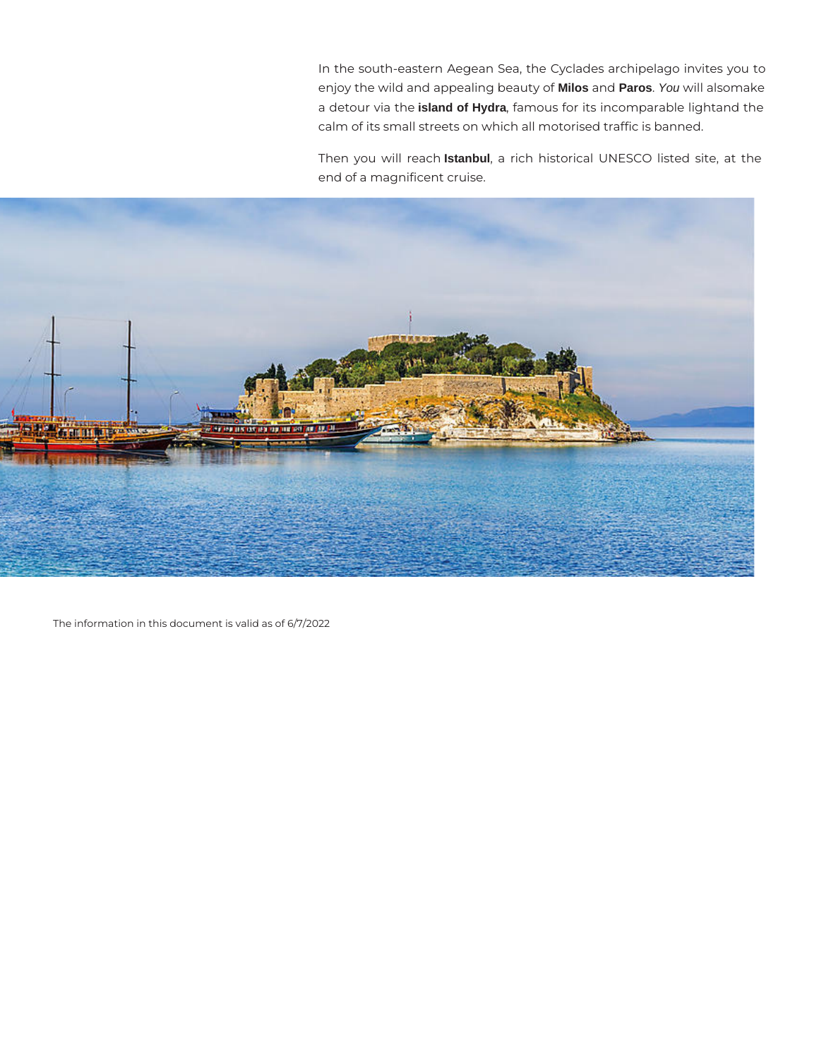In the south-eastern Aegean Sea, the Cyclades archipelago invites you to enjoy the wild and appealing beauty of **Milos** and **Paros**. You will alsomake a detour via the **island of Hydra**, famous for its incomparable lightand the calm of its small streets on which all motorised traffic is banned.

Then you will reach **Istanbul**, a rich historical UNESCO listed site, at the end of a magnificent cruise.



The information in this document is valid as of 6/7/2022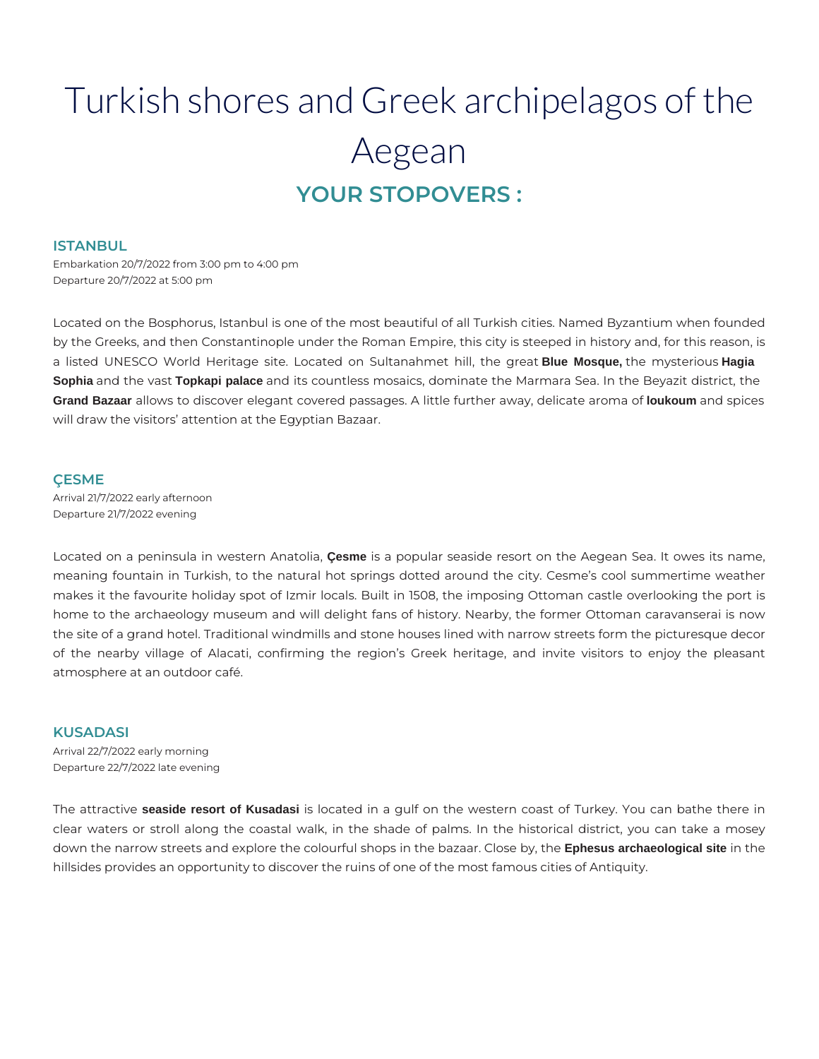# Turkish shores and Greek archipelagos of the Aegean **YOUR STOPOVERS :**

#### **ISTANBUL**

Embarkation 20/7/2022 from 3:00 pm to 4:00 pm Departure 20/7/2022 at 5:00 pm

Located on the Bosphorus, Istanbul is one of the most beautiful of all Turkish cities. Named Byzantium when founded by the Greeks, and then Constantinople under the Roman Empire, this city is steeped in history and, for this reason, is a listed UNESCO World Heritage site. Located on Sultanahmet hill, the great **Blue Mosque,** the mysterious **Hagia Sophia** and the vast **Topkapi palace** and its countless mosaics, dominate the Marmara Sea. In the Beyazit district, the **Grand Bazaar** allows to discover elegant covered passages. A little further away, delicate aroma of **loukoum** and spices will draw the visitors' attention at the Egyptian Bazaar.

#### **ÇESME**

Arrival 21/7/2022 early afternoon Departure 21/7/2022 evening

Located on a peninsula in western Anatolia, **Çesme** is a popular seaside resort on the Aegean Sea. It owes its name, meaning fountain in Turkish, to the natural hot springs dotted around the city. Cesme's cool summertime weather makes it the favourite holiday spot of Izmir locals. Built in 1508, the imposing Ottoman castle overlooking the port is home to the archaeology museum and will delight fans of history. Nearby, the former Ottoman caravanserai is now the site of a grand hotel. Traditional windmills and stone houses lined with narrow streets form the picturesque decor of the nearby village of Alacati, confirming the region's Greek heritage, and invite visitors to enjoy the pleasant atmosphere at an outdoor café.

#### **KUSADASI**

Arrival 22/7/2022 early morning Departure 22/7/2022 late evening

The attractive **seaside resort of Kusadasi** is located in a gulf on the western coast of Turkey. You can bathe there in clear waters or stroll along the coastal walk, in the shade of palms. In the historical district, you can take a mosey down the narrow streets and explore the colourful shops in the bazaar. Close by, the **Ephesus archaeological site** in the hillsides provides an opportunity to discover the ruins of one of the most famous cities of Antiquity.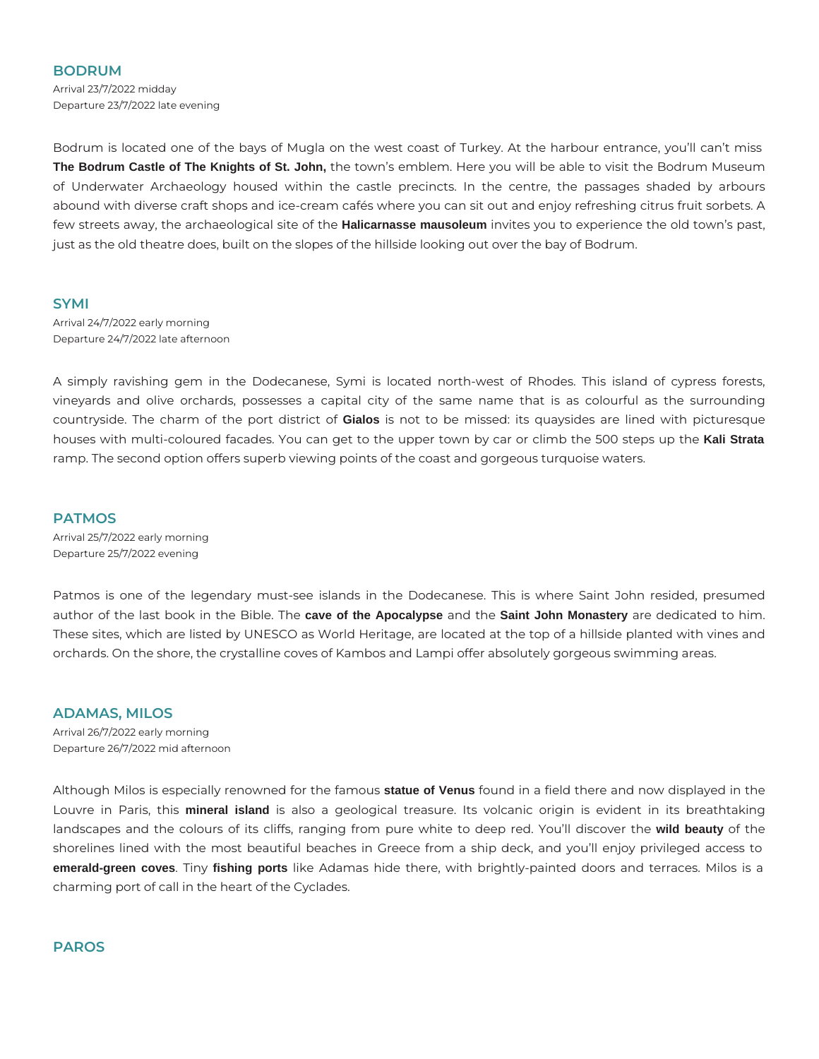# **BODRUM**

Arrival 23/7/2022 midday Departure 23/7/2022 late evening

Bodrum is located one of the bays of Mugla on the west coast of Turkey. At the harbour entrance, you'll can't miss **The Bodrum Castle of The Knights of St. John,** the town's emblem. Here you will be able to visit the Bodrum Museum of Underwater Archaeology housed within the castle precincts. In the centre, the passages shaded by arbours abound with diverse craft shops and ice-cream cafés where you can sit out and enjoy refreshing citrus fruit sorbets. A few streets away, the archaeological site of the **Halicarnasse mausoleum** invites you to experience the old town's past, just as the old theatre does, built on the slopes of the hillside looking out over the bay of Bodrum.

# **SYMI**

Arrival 24/7/2022 early morning Departure 24/7/2022 late afternoon

A simply ravishing gem in the Dodecanese, Symi is located north-west of Rhodes. This island of cypress forests, vineyards and olive orchards, possesses a capital city of the same name that is as colourful as the surrounding countryside. The charm of the port district of **Gialos** is not to be missed: its quaysides are lined with picturesque houses with multi-coloured facades. You can get to the upper town by car or climb the 500 steps up the **Kali Strata** ramp. The second option offers superb viewing points of the coast and gorgeous turquoise waters.

#### **PATMOS**

Arrival 25/7/2022 early morning Departure 25/7/2022 evening

Patmos is one of the legendary must-see islands in the Dodecanese. This is where Saint John resided, presumed author of the last book in the Bible. The **cave of the Apocalypse** and the **Saint John Monastery** are dedicated to him. These sites, which are listed by UNESCO as World Heritage, are located at the top of a hillside planted with vines and orchards. On the shore, the crystalline coves of Kambos and Lampi offer absolutely gorgeous swimming areas.

# **ADAMAS, MILOS**

Arrival 26/7/2022 early morning Departure 26/7/2022 mid afternoon

Although Milos is especially renowned for the famous **statue of Venus** found in a field there and now displayed in the Louvre in Paris, this **mineral island** is also a geological treasure. Its volcanic origin is evident in its breathtaking landscapes and the colours of its cliffs, ranging from pure white to deep red. You'll discover the **wild beauty** of the shorelines lined with the most beautiful beaches in Greece from a ship deck, and you'll enjoy privileged access to **emerald-green coves**. Tiny **fishing ports** like Adamas hide there, with brightly-painted doors and terraces. Milos is a charming port of call in the heart of the Cyclades.

# **PAROS**